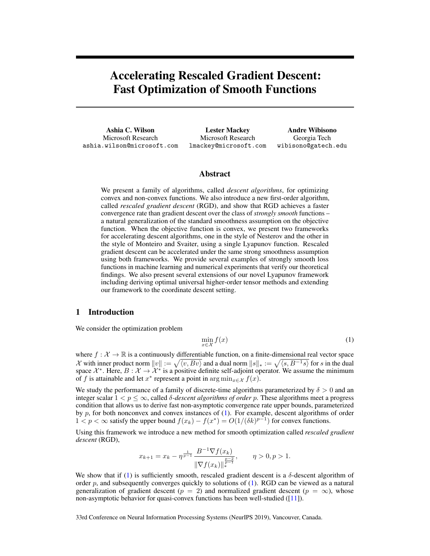# <span id="page-0-1"></span>Accelerating Rescaled Gradient Descent: Fast Optimization of Smooth Functions

Ashia C. Wilson Microsoft Research ashia.wilson@microsoft.com

Lester Mackey Microsoft Research lmackey@microsoft.com

Andre Wibisono Georgia Tech wibisono@gatech.edu

## Abstract

We present a family of algorithms, called *descent algorithms*, for optimizing convex and non-convex functions. We also introduce a new first-order algorithm, called *rescaled gradient descent* (RGD), and show that RGD achieves a faster convergence rate than gradient descent over the class of *strongly smooth* functions – a natural generalization of the standard smoothness assumption on the objective function. When the objective function is convex, we present two frameworks for accelerating descent algorithms, one in the style of Nesterov and the other in the style of Monteiro and Svaiter, using a single Lyapunov function. Rescaled gradient descent can be accelerated under the same strong smoothness assumption using both frameworks. We provide several examples of strongly smooth loss functions in machine learning and numerical experiments that verify our theoretical findings. We also present several extensions of our novel Lyapunov framework including deriving optimal universal higher-order tensor methods and extending our framework to the coordinate descent setting.

# 1 Introduction

We consider the optimization problem

<span id="page-0-0"></span>
$$
\min_{x \in \mathcal{X}} f(x) \tag{1}
$$

where  $f: \mathcal{X} \to \mathbb{R}$  is a continuously differentiable function, on a finite-dimensional real vector space  $\mathcal X$  with inner product norm  $||v|| := \sqrt{\langle v, Bv \rangle}$  and a dual norm  $||s||_* := \sqrt{\langle s, B^{-1}s \rangle}$  for s in the dual space  $\mathcal{X}^*$ . Here,  $B: \mathcal{X} \to \mathcal{X}^*$  is a positive definite self-adjoint operator. We assume the minimum of f is attainable and let  $x^*$  represent a point in  $\arg \min_{x \in \mathcal{X}} f(x)$ .

We study the performance of a family of discrete-time algorithms parameterized by  $\delta > 0$  and an integer scalar  $1 < p \leq \infty$ , called  $\delta$ -*descent algorithms of order* p. These algorithms meet a progress condition that allows us to derive fast non-asymptotic convergence rate upper bounds, parameterized by  $p$ , for both nonconvex and convex instances of  $(1)$ . For example, descent algorithms of order 1 < *p* < ∞ satisfy the upper bound  $f(x_k) - f(x^*) = O(1/(\delta k)^{p-1})$  for convex functions.

Using this framework we introduce a new method for smooth optimization called *rescaled gradient descent* (RGD),

$$
x_{k+1} = x_k - \eta^{\frac{1}{p-1}} \frac{B^{-1} \nabla f(x_k)}{\|\nabla f(x_k)\|_{*}^{\frac{p-2}{p-1}}}, \qquad \eta > 0, p > 1.
$$

We show that if [\(1\)](#page-0-0) is sufficiently smooth, rescaled gradient descent is a  $\delta$ -descent algorithm of order p, and subsequently converges quickly to solutions of  $(1)$ . RGD can be viewed as a natural generalization of gradient descent ( $p = 2$ ) and normalized gradient descent ( $p = \infty$ ), whose non-asymptotic behavior for quasi-convex functions has been well-studied ([\[11\]](#page-9-0)).

33rd Conference on Neural Information Processing Systems (NeurIPS 2019), Vancouver, Canada.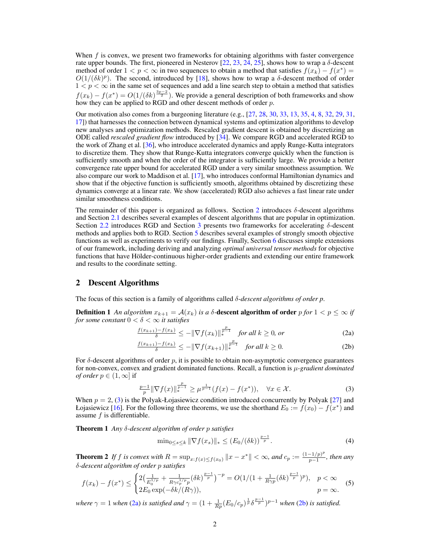When  $f$  is convex, we present two frameworks for obtaining algorithms with faster convergence rate upper bounds. The first, pioneered in Nesterov [\[22,](#page-10-0) [23,](#page-10-1) [24,](#page-10-2) [25\]](#page-10-3), shows how to wrap a  $\delta$ -descent method of order  $1 < p < \infty$  in two sequences to obtain a method that satisfies  $f(x_k) - f(x^*) =$  $O(1/(\delta k)^p)$ . The second, introduced by [\[18\]](#page-9-1), shows how to wrap a  $\delta$ -descent method of order  $1 < p < \infty$  in the same set of sequences and add a line search step to obtain a method that satisfies  $f(x_k) - f(x^*) = O(1/(\delta k)^{\frac{3p-2}{2}})$ . We provide a general description of both frameworks and show how they can be applied to RGD and other descent methods of order  $p$ .

Our motivation also comes from a burgeoning literature (e.g., [\[27,](#page-10-4) [28,](#page-10-5) [30,](#page-10-6) [33,](#page-10-7) [13,](#page-9-2) [35,](#page-10-8) [4,](#page-9-3) [8,](#page-9-4) [32,](#page-10-9) [29,](#page-10-10) [31,](#page-10-11) [17\]](#page-9-5)) that harnesses the connection between dynamical systems and optimization algorithms to develop new analyses and optimization methods. Rescaled gradient descent is obtained by discretizing an ODE called *rescaled gradient flow* introduced by [\[34\]](#page-10-12). We compare RGD and accelerated RGD to the work of Zhang et al. [\[36\]](#page-10-13), who introduce accelerated dynamics and apply Runge-Kutta integrators to discretize them. They show that Runge-Kutta integrators converge quickly when the function is sufficiently smooth and when the order of the integrator is sufficiently large. We provide a better convergence rate upper bound for accelerated RGD under a very similar smoothness assumption. We also compare our work to Maddison et al. [\[17\]](#page-9-5), who introduces conformal Hamiltonian dynamics and show that if the objective function is sufficiently smooth, algorithms obtained by discretizing these dynamics converge at a linear rate. We show (accelerated) RGD also achieves a fast linear rate under similar smoothness conditions.

The remainder of this paper is organized as follows. Section [2](#page-1-0) introduces  $\delta$ -descent algorithms and Section [2.1](#page-2-0) describes several examples of descent algorithms that are popular in optimization. Section [2.2](#page-3-0) introduces RGD and Section [3](#page-3-1) presents two frameworks for accelerating δ-descent methods and applies both to RGD. Section [5](#page-6-0) describes several examples of strongly smooth objective functions as well as experiments to verify our findings. Finally, Section [6](#page-8-0) discusses simple extensions of our framework, including deriving and analyzing *optimal universal tensor methods* for objective functions that have Hölder-continuous higher-order gradients and extending our entire framework and results to the coordinate setting.

## <span id="page-1-0"></span>2 Descent Algorithms

The focus of this section is a family of algorithms called δ-*descent algorithms of order p*.

**Definition 1** An algorithm  $x_{k+1} = A(x_k)$  is a  $\delta$ -descent algorithm of order  $p$  for  $1 < p \le \infty$  if *for some constant*  $0 < \delta < \infty$  *it satisfies* 

<span id="page-1-1"></span>
$$
\frac{f(x_{k+1}) - f(x_k)}{\delta} \le -\|\nabla f(x_k)\|_{*}^{\frac{p}{p-1}} \quad \text{for all } k \ge 0, \text{ or} \tag{2a}
$$

<span id="page-1-2"></span>
$$
\frac{f(x_{k+1}) - f(x_k)}{\delta} \le -\|\nabla f(x_{k+1})\|_{*}^{\frac{p}{p-1}} \quad \text{for all } k \ge 0. \tag{2b}
$$

For  $\delta$ -descent algorithms of order  $p$ , it is possible to obtain non-asymptotic convergence guarantees for non-convex, convex and gradient dominated functions. Recall, a function is  $\mu$ -gradient dominated *of order*  $p \in (1, \infty]$  if

$$
\frac{p-1}{p} \|\nabla f(x)\|_{*}^{\frac{p}{p-1}} \ge \mu^{\frac{1}{p-1}} (f(x) - f(x^*)), \quad \forall x \in \mathcal{X}.
$$
 (3)

When  $p = 2$ , [\(3\)](#page-0-1) is the Polyak-Łojasiewicz condition introduced concurrently by Polyak [\[27\]](#page-10-4) and Łojasiewicz [\[16\]](#page-9-6). For the following three theorems, we use the shorthand  $E_0 := f(x_0) - f(x^*)$  and assume  $f$  is differentiable.

Theorem 1 *Any* δ*-descent algorithm of order* p *satisfies*

<span id="page-1-3"></span>
$$
\min_{0 \le s \le k} \|\nabla f(x_s)\|_{*} \le (E_0/(\delta k))^{\frac{p-1}{p}}.
$$
 (4)

<span id="page-1-5"></span>**Theorem 2** If f is convex with  $R = \sup_{x: f(x) \le f(x_0)} ||x - x^*|| < \infty$ , and  $c_p := \frac{(1 - 1/p)^p}{p - 1}$  $\frac{-1/p)^r}{p-1}$ , then any δ*-descent algorithm of order* p *satisfies*

$$
f(x_k) - f(x^*) \le \begin{cases} 2\left(\frac{1}{E_0^{1/p}} + \frac{1}{R\gamma c_p^{1/p} p} (\delta k)^{\frac{p-1}{p}}\right)^{-p} = O(1/(1 + \frac{1}{R\gamma p} (\delta k)^{\frac{p-1}{p}})^p), & p < \infty \\ 2E_0 \exp(-\delta k/(R\gamma)), & p = \infty. \end{cases}
$$
(5)

<span id="page-1-4"></span>*where*  $\gamma = 1$  *when* [\(2a\)](#page-1-1) *is satisfied and*  $\gamma = (1 + \frac{1}{Rp}(E_0/c_p)^{\frac{1}{p}}\delta^{\frac{p-1}{p}})^{p-1}$  *when* [\(2b\)](#page-1-2) *is satisfied.*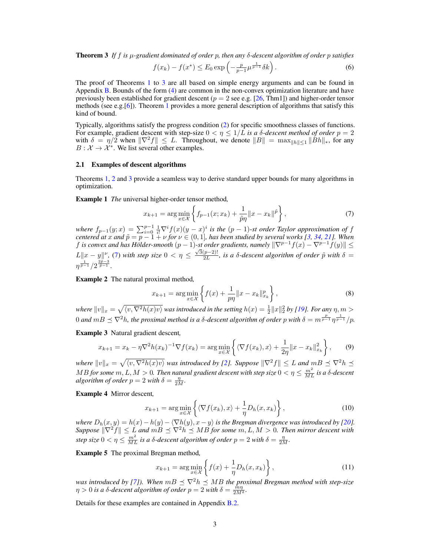Theorem 3 *If* f *is* µ*-gradient dominated of order* p*, then any* δ*-descent algorithm of order* p *satisfies*

$$
f(x_k) - f(x^*) \le E_0 \exp\left(-\frac{p}{p-1} \mu^{\frac{1}{p-1}} \delta k\right).
$$
 (6)

The proof of Theorems [1](#page-1-3) to [3](#page-1-4) are all based on simple energy arguments and can be found in Appendix B. Bounds of the form [\(4\)](#page-0-1) are common in the non-convex optimization literature and have previously been established for gradient descent ( $p = 2$  see e.g. [\[26,](#page-10-14) Thm1]) and higher-order tensor methods (see e.g.[\[6\]](#page-9-7)). Theorem [1](#page-1-3) provides a more general description of algorithms that satisfy this kind of bound.

Typically, algorithms satisfy the progress condition [\(2\)](#page-1-2) for specific smoothness classes of functions. For example, gradient descent with step-size  $0 < \eta \leq 1/L$  *is a*  $\delta$ *-descent method of order*  $p = 2$ with  $\delta = \eta/2$  when  $\|\nabla^2 f\| \leq L$ . Throughout, we denote  $\|B\| = \max_{\|h\| \leq 1} \|\check{B}h\|_*$ , for any  $B: \mathcal{X} \to \mathcal{X}^*$ . We list several other examples.

#### <span id="page-2-0"></span>2.1 Examples of descent algorithms

Theorems [1,](#page-1-3) [2](#page-1-5) and [3](#page-1-4) provide a seamless way to derive standard upper bounds for many algorithms in optimization.

Example 1 *The* universal higher-order tensor method*,*

$$
x_{k+1} = \arg\min_{x \in \mathcal{X}} \left\{ f_{p-1}(x; x_k) + \frac{1}{\tilde{p}\eta} ||x - x_k||^{\tilde{p}} \right\},\tag{7}
$$

*where*  $f_{p-1}(y;x) = \sum_{i=0}^{p-1} \frac{1}{i!} \nabla^i f(x) (y-x)^i$  *is the*  $(p-1)$ -st order Taylor approximation of f *centered at x and*  $\tilde{p} = p - 1 + \nu$  *for*  $\nu \in (0, 1]$ *, has been studied by several works [\[3,](#page-9-8) [34,](#page-10-12) [21\]](#page-10-15). When* f *is convex and has Hölder-smooth*  $(p-1)$ -st *order gradients, namely*  $\|\nabla^{p-1}f(x) - \nabla^{p-1}f(y)\|$  ≤ *L*||*x* − *y*||<sup>*v*</sup>, [\(7\)](#page-0-1) *with step size* 0 < η ≤  $\frac{\sqrt{3}(p-2)!}{2L}$  $\frac{(p-2)!}{2L}$ , is a  $\delta$ -descent algorithm of order  $\tilde{p}$  with  $\delta =$  $\eta^{\frac{1}{\tilde{p}-1}}/2^{\frac{2\tilde{p}-3}{\tilde{p}-1}}.$ 

Example 2 The natural proximal method*,*

$$
x_{k+1} = \arg\min_{x \in \mathcal{X}} \left\{ f(x) + \frac{1}{p\eta} \|x - x_k\|_{x_k}^p \right\},\tag{8}
$$

where  $||v||_x = \sqrt{\langle v, \nabla^2 h(x)v \rangle}$  was introduced in the setting  $h(x) = \frac{1}{2} ||x||_2^2$  by [\[19\]](#page-9-9). For any  $\eta, m >$ 0 and  $mB \preceq \nabla^2 h$ , the proximal method is a  $\delta$ -descent algorithm of order p with  $\delta = m^{\frac{p}{p-1}} \eta^{\frac{1}{p-1}}/p$ .

Example 3 Natural gradient descent*,*

$$
x_{k+1} = x_k - \eta \nabla^2 h(x_k)^{-1} \nabla f(x_k) = \arg\min_{x \in \mathcal{X}} \left\{ \langle \nabla f(x_k), x \rangle + \frac{1}{2\eta} ||x - x_k||_{x_k}^2 \right\},\tag{9}
$$

where  $||v||_x = \sqrt{\langle v, \nabla^2 h(x)v\rangle}$  was introduced by [\[2\]](#page-8-1). Suppose  $\|\nabla^2 f\| \leq L$  and  $mB \preceq \nabla^2 h \preceq$  $MB$  *for some*  $m,L,M>0$ *. Then natural gradient descent with step size*  $0<\eta\leq\frac{m^2}{ML}$  *is a*  $\delta$ *-descent algorithm of order*  $p = 2$  *with*  $\delta = \frac{\eta}{2M}$ *.* 

Example 4 Mirror descent*,*

$$
x_{k+1} = \arg\min_{x \in \mathcal{X}} \left\{ \langle \nabla f(x_k), x \rangle + \frac{1}{\eta} D_h(x, x_k) \right\},\tag{10}
$$

*where*  $D_h(x, y) = h(x) - h(y) - \langle \nabla h(y), x - y \rangle$  *is the Bregman divergence was introduced by* [\[20\]](#page-9-10)*.*  $Suppose \|\nabla^2 f\| \leq L$  and  $m \ddot{B} \preceq \nabla^2 h \preceq MB$  for some  $m,L,M>0$ . Then mirror descent with *step size*  $0 < \eta \le \frac{m^2}{ML}$  *is a*  $\delta$ *-descent algorithm of order*  $p = 2$  *with*  $\delta = \frac{\eta}{2M}$ *.* 

Example 5 The proximal Bregman method*,*

$$
x_{k+1} = \arg\min_{x \in \mathcal{X}} \left\{ f(x) + \frac{1}{\eta} D_h(x, x_k) \right\},\tag{11}
$$

*was introduced by [\[7\]](#page-9-11)). When*  $m \times B \leq \nabla^2 h \leq MB$  *the proximal Bregman method with step-size*  $\eta > 0$  *is a*  $\delta$ -descent algorithm of order  $p = 2$  with  $\delta = \frac{\dot{m}\eta}{2M^2}$ .

Details for these examples are contained in Appendix B.2.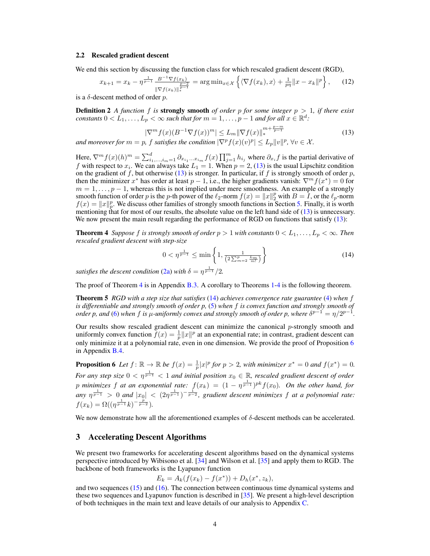#### <span id="page-3-0"></span>2.2 Rescaled gradient descent

We end this section by discussing the function class for which rescaled gradient descent (RGD),

$$
x_{k+1} = x_k - \eta^{\frac{1}{p-1}} \frac{B^{-1} \nabla f(x_k)}{\|\nabla f(x_k)\|_{\ast}^{\frac{p-2}{p-1}}} = \arg \min_{x \in \mathcal{X}} \left\{ \langle \nabla f(x_k), x \rangle + \frac{1}{p\eta} \|x - x_k\|^p \right\},\tag{12}
$$

is a  $\delta$ -descent method of order p.

**Definition 2** *A function* f *is* **strongly smooth** *of order* p for some integer  $p > 1$ , if there exist  $\alpha$  *constants*  $0 < L_1, \ldots, L_p$   $< \infty$  such that for  $m = 1, \ldots, p - 1$  and for all  $x \in \mathbb{R}^d$ .

$$
|\nabla^m f(x)(B^{-1}\nabla f(x))^m| \le L_m \|\nabla f(x)\|_{*}^{m + \frac{p - m}{p - 1}} \tag{13}
$$

*and moreover for*  $m = p$ ,  $f$  *satisfies the condition*  $|\nabla^p f(x)(v)^p| \leq L_p ||v||^p$ ,  $\forall v \in \mathcal{X}$ .

Here,  $\nabla^m f(x)(h)^m = \sum_{i_1,\dots,i_m=1}^d \partial_{x_{i_1}\dots x_{i_m}} f(x) \prod_{j=1}^m h_{i_j}$  where  $\partial_{x_i} f$  is the partial derivative of f with respect to  $x_i$ . We can always take  $L_1 = 1$ . When  $p = 2$ , [\(13\)](#page-0-1) is the usual Lipschitz condition on the gradient of f, but otherwise [\(13\)](#page-0-1) is stronger. In particular, if f is strongly smooth of order  $p$ , then the minimizer  $x^*$  has order at least  $p-1$ , i.e., the higher gradients vanish:  $\nabla^m f(x^*) = 0$  for  $m = 1, \ldots, p - 1$ , whereas this is not implied under mere smoothness. An example of a strongly smooth function of order p is the p-th power of the  $\ell_2$ -norm  $f(x) = ||x||_2^p$  with  $B = I$ , or the  $\ell_p$ -norm  $f(x) = ||x||_p^p$ . We discuss other families of strongly smooth functions in Section [5.](#page-6-0) Finally, it is worth mentioning that for most of our results, the absolute value on the left hand side of [\(13\)](#page-0-1) is unnecessary. We now present the main result regarding the performance of RGD on functions that satisfy [\(13\)](#page-0-1):

<span id="page-3-2"></span>**Theorem 4** *Suppose* f *is strongly smooth of order*  $p > 1$  *with constants*  $0 < L_1, \ldots, L_p < \infty$ *. Then rescaled gradient descent with step-size*

$$
0 < \eta^{\frac{1}{p-1}} \le \min\left\{1, \frac{1}{\left(2\sum_{m=2}^{p} \frac{L_m}{m!}\right)}\right\} \tag{14}
$$

*satisfies the descent condition* [\(2a\)](#page-1-1) *with*  $\delta = \eta^{\frac{1}{p-1}}/2$ .

The proof of Theorem [4](#page-3-2) is in Appendix B.3. A corollary to Theorems [1](#page-1-3)[-4](#page-3-2) is the following theorem.

Theorem 5 *RGD with a step size that satisfies* [\(14\)](#page-0-1) *achieves convergence rate guarantee* [\(4\)](#page-0-1) *when* f *is differentiable and strongly smooth of order p,* [\(5\)](#page-0-1) *when* f *is convex function and strongly smooth of order p, and* [\(6\)](#page-0-1) when f *is*  $\mu$ -uniformly convex and strongly smooth of order p, where  $\delta^{p-1} = \eta/2^{p-1}$ .

Our results show rescaled gradient descent can minimize the canonical  $p$ -strongly smooth and uniformly convex function  $\tilde{f}(x) = \frac{1}{p} ||x||^p$  at an exponential rate; in contrast, gradient descent can only minimize it at a polynomial rate, even in one dimension. We provide the proof of Proposition [6](#page-3-3) in Appendix B.4.

<span id="page-3-3"></span>**Proposition 6** Let  $f: \mathbb{R} \to \mathbb{R}$  be  $f(x) = \frac{1}{p} |x|^p$  for  $p > 2$ , with minimizer  $x^* = 0$  and  $f(x^*) = 0$ . For any step size  $0 < \eta^{\frac{1}{p-1}} < 1$  and initial position  $x_0 \in \mathbb{R}$ , rescaled gradient descent of order p minimizes f at an exponential rate:  $f(x_k) = (1 - \eta^{\frac{1}{p-1}})^{pk} f(x_0)$ . On the other hand, for  $|any \; \eta^{\frac{1}{p-1}} > 0$  and  $|x_0| < (2\eta^{\frac{1}{p-1}})^{-\frac{1}{p-2}}$ , gradient descent minimizes f at a polynomial rate:  $f(x_k) = \Omega((\eta^{\frac{1}{p-1}}k)^{-\frac{p}{p-2}}).$ 

We now demonstrate how all the aforementioned examples of δ-descent methods can be accelerated.

# <span id="page-3-1"></span>3 Accelerating Descent Algorithms

We present two frameworks for accelerating descent algorithms based on the dynamical systems perspective introduced by Wibisono et al. [\[34\]](#page-10-12) and Wilson et al. [\[35\]](#page-10-8) and apply them to RGD. The backbone of both frameworks is the Lyapunov function

$$
E_k = A_k(f(x_k) - f(x^*)) + D_h(x^*, z_k),
$$

and two sequences [\(15\)](#page-0-1) and [\(16\)](#page-0-1). The connection between continuous time dynamical systems and these two sequences and Lyapunov function is described in [\[35\]](#page-10-8). We present a high-level description of both techniques in the main text and leave details of our analysis to Appendix C.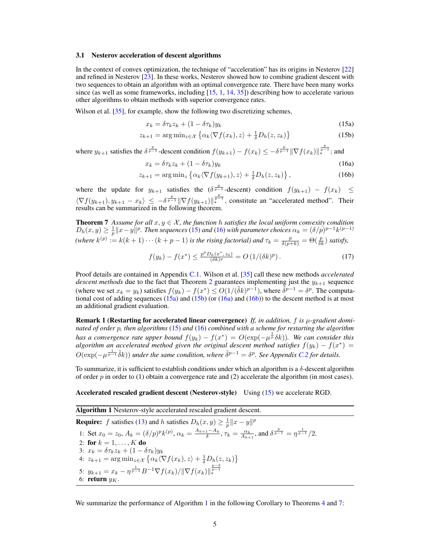#### 3.1 Nesterov acceleration of descent algorithms

In the context of convex optimization, the technique of "acceleration" has its origins in Nesterov [\[22\]](#page-10-0) and refined in Nesterov [\[23\]](#page-10-1). In these works, Nesterov showed how to combine gradient descent with two sequences to obtain an algorithm with an optimal convergence rate. There have been many works since (as well as some frameworks, including  $[15, 1, 14, 35]$  $[15, 1, 14, 35]$  $[15, 1, 14, 35]$  $[15, 1, 14, 35]$  $[15, 1, 14, 35]$  $[15, 1, 14, 35]$  $[15, 1, 14, 35]$ ) describing how to accelerate various other algorithms to obtain methods with superior convergence rates.

Wilson et al. [\[35\]](#page-10-8), for example, show the following two discretizing schemes,

$$
x_k = \delta \tau_k z_k + (1 - \delta \tau_k) y_k \tag{15a}
$$

$$
z_{k+1} = \arg\min_{z \in \mathcal{X}} \left\{ \alpha_k \langle \nabla f(x_k), z \rangle + \frac{1}{\delta} D_h(z, z_k) \right\} \tag{15b}
$$

where  $y_{k+1}$  satisfies the  $\delta^{\frac{p}{p-1}}$ -descent condition  $f(y_{k+1}) - f(x_k) \le -\delta^{\frac{p}{p-1}} \|\nabla f(x_k)\|_{*}^{\frac{p}{p-1}}$ ; and

$$
x_k = \delta \tau_k z_k + (1 - \delta \tau_k) y_k \tag{16a}
$$

$$
z_{k+1} = \arg\min_{z} \left\{ \alpha_k \langle \nabla f(y_{k+1}), z \rangle + \frac{1}{\delta} D_h(z, z_k) \right\},\tag{16b}
$$

where the update for  $y_{k+1}$  satisfies the  $(\delta^{\frac{p}{p-1}}$ -descent) condition  $f(y_{k+1}) - f(x_k) \leq$  $\langle \nabla f(y_{k+1}), y_{k+1} - x_k \rangle \leq -\delta^{\frac{p}{p-1}} \|\nabla f(y_{k+1})\|_{*}^{\frac{p}{p-1}}$ , constitute an "accelerated method". Their results can be summarized in the following theorem.

**Theorem 7** Assume for all  $x, y \in \mathcal{X}$ , the function h satisfies the local uniform convexity condition  $D_h(x,y) \geq \frac{1}{p} ||x-y||^p$ . Then sequences [\(15\)](#page-0-1) and [\(16\)](#page-0-1) with parameter choices  $\alpha_k = (\delta/p)^{p-1} k^{(p-1)}$ *(where*  $k^{(p)} := k(k+1)\cdots(k+p-1)$  *is the rising factorial) and*  $\tau_k = \frac{p}{\delta(p+k)} = \Theta(\frac{p}{\delta k})$  *satisfy,* 

<span id="page-4-1"></span>
$$
f(y_k) - f(x^*) \le \frac{p^p D_h(x^*, z_0)}{(\delta k)^p} = O\left(1/(\delta k)^p\right). \tag{17}
$$

Proof details are contained in Appendix C.1. Wilson et al. [\[35\]](#page-10-8) call these new methods *accelerated descent methods* due to the fact that Theorem [2](#page-1-5) guarantees implementing just the  $y_{k+1}$  sequence (where we set  $x_k = y_k$ ) satisfies  $f(y_k) - f(x^*) \leq O(1/(\tilde{\delta}k)^{p-1})$ , where  $\tilde{\delta}^{p-1} = \delta^p$ . The computational cost of adding sequences  $(15a)$  and  $(15b)$  (or  $(16a)$  and  $(16b)$ ) to the descent method is at most an additional gradient evaluation.

Remark 1 (Restarting for accelerated linear convergence) *If, in addition,* f *is* µ*-gradient dominated of order* p*, then algorithms* [\(15\)](#page-0-1) *and* [\(16\)](#page-0-1) *combined with a scheme for restarting the algorithm has a convergence rate upper bound*  $f(y_k) - f(x^*) = O(\exp(-\mu^{\frac{1}{p}}\delta k))$ . We can consider this *algorithm an accelerated method given the original descent method satisfies*  $f(y_k) - f(x^*) =$  $O(\exp(-\mu^{\frac{1}{p-1}}\tilde{\delta}k))$  under the same condition, where  $\tilde{\delta}^{p-1} = \delta^p$ . See Appendix *C.2* for details.

To summarize, it is sufficient to establish conditions under which an algorithm is a  $\delta$ -descent algorithm of order  $p$  in order to (1) obtain a convergence rate and (2) accelerate the algorithm (in most cases).

#### Accelerated rescaled gradient descent (Nesterov-style) Using [\(15\)](#page-0-1) we accelerate RGD.

<span id="page-4-0"></span>Algorithm 1 Nesterov-style accelerated rescaled gradient descent.

**Require:** f satisfies [\(13\)](#page-0-1) and h satisfies  $D_h(x, y) \ge \frac{1}{p} ||x - y||^p$ 1: Set  $x_0 = z_0$ ,  $A_k = (\delta/p)^p k^{(p)}$ ,  $\alpha_k = \frac{A_{k+1} - A_k}{\delta}$ ,  $\tau_k = \frac{\alpha_k}{A_{k+1}}$ , and  $\delta^{\frac{p}{p-1}} = \eta^{\frac{1}{p-1}}/2$ . 2: for  $k = 1, ..., K$  do 3:  $x_k = \delta \tau_k z_k + (1 - \delta \tau_k) y_k$ 4:  $z_{k+1} = \arg \min_{z \in \mathcal{X}} \left\{ \alpha_k \langle \nabla f(x_k), z \rangle + \frac{1}{\delta} D_h(z, z_k) \right\}$ 5:  $y_{k+1} = x_k - \eta^{\frac{1}{p-1}} B^{-1} \nabla f(x_k) / \| \nabla f(x_k) \|_{\frac{p-2}{p-1}}^{\frac{p-2}{p-1}}$ 6: return  $y_K$ .

We summarize the performance of Algorithm [1](#page-4-0) in the following Corollary to Theorems [4](#page-3-2) and [7:](#page-4-1)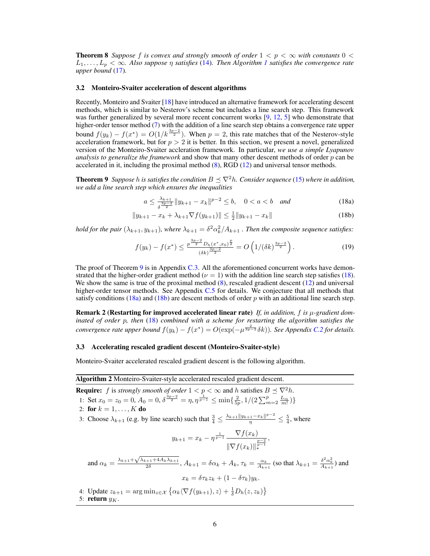**Theorem 8** *Suppose* f *is convex and strongly smooth of order*  $1 < p < \infty$  *with constants*  $0 <$  $L_1, \ldots, L_p < \infty$  $L_1, \ldots, L_p < \infty$  $L_1, \ldots, L_p < \infty$ . Also suppose  $\eta$  satisfies [\(14\)](#page-0-1). Then Algorithm 1 satisfies the convergence rate *upper bound* [\(17\)](#page-0-1)*.*

#### 3.2 Monteiro-Svaiter acceleration of descent algorithms

Recently, Monteiro and Svaiter [\[18\]](#page-9-1) have introduced an alternative framework for accelerating descent methods, which is similar to Nesterov's scheme but includes a line search step. This framework was further generalized by several more recent concurrent works [\[9,](#page-9-14) [12,](#page-9-15) [5\]](#page-9-16) who demonstrate that higher-order tensor method [\(7\)](#page-0-1) with the addition of a line search step obtains a convergence rate upper bound  $f(y_k) - f(x^*) = O(1/k^{\frac{3p-2}{2}})$ . When  $p = 2$ , this rate matches that of the Nesterov-style acceleration framework, but for  $p > 2$  it is better. In this section, we present a novel, generalized version of the Monteiro-Svaiter accleration framework. In particular, *we use a simple Lyapunov analysis to generalize the framework* and show that many other descent methods of order p can be accelerated in it, including the proximal method [\(8\)](#page-0-1), RGD [\(12\)](#page-0-1) and universal tensor methods.

**Theorem 9** *Suppose* h is satisfies the condition  $B \prec \nabla^2 h$ . Consider sequence [\(15\)](#page-0-1) where in addition, *we add a line search step which ensures the inequalities*

<span id="page-5-0"></span>
$$
a \le \frac{\lambda_{k+1}}{\delta^{\frac{3p-2}{2}}} \|y_{k+1} - x_k\|^{p-2} \le b, \quad 0 < a < b \quad and \tag{18a}
$$

$$
||y_{k+1} - x_k + \lambda_{k+1} \nabla f(y_{k+1})|| \le \frac{1}{2} ||y_{k+1} - x_k|| \tag{18b}
$$

*hold for the pair*  $(\lambda_{k+1}, y_{k+1})$ *, where*  $\lambda_{k+1} = \delta^2 \alpha_k^2 / A_{k+1}$ *. Then the composite sequence satisfies:* 

$$
f(y_k) - f(x^*) \le \frac{p^{\frac{3p-2}{2}} D_h(x^*, x_0)^{\frac{p}{2}}}{(\delta k)^{\frac{3p-2}{2}}} = O\left(1/(\delta k)^{\frac{3p-2}{2}}\right). \tag{19}
$$

The proof of Theorem [9](#page-5-0) is in Appendix C.3. All the aforementioned concurrent works have demonstrated that the higher-order gradient method ( $\nu = 1$ ) with the addition line search step satisfies [\(18\)](#page-0-1). We show the same is true of the proximal method  $(8)$ , rescaled gradient descent  $(12)$  and universal higher-order tensor methods. See Appendix C.5 for details. We conjecture that all methods that satisfy conditions [\(18a\)](#page-0-1) and [\(18b\)](#page-0-1) are descent methods of order p with an additional line search step.

Remark 2 (Restarting for improved accelerated linear rate) *If, in addition,* f *is* µ*-gradient dominated of order* p*, then* [\(18\)](#page-0-1) *combined with a scheme for restarting the algorithm satisfies the convergence rate upper bound*  $f(y_k) - f(x^*) = O(\exp(-\mu^{\frac{2}{3p-2}}\delta k))$ . See Appendix C.2 for details.

#### 3.3 Accelerating rescaled gradient descent (Monteiro-Svaiter-style)

Monteiro-Svaiter accelerated rescaled gradient descent is the following algorithm.

<span id="page-5-1"></span>Algorithm 2 Monteiro-Svaiter-style accelerated rescaled gradient descent. **Require:** f is *strongly smooth of order*  $1 < p < \infty$  and h satisfies  $B \preceq \nabla^2 h$ . 1: Set  $x_0 = z_0 = 0$ ,  $A_0 = 0$ ,  $\delta^{\frac{3p-2}{2}} = \eta$ ,  $\eta^{\frac{1}{p-1}} \le \min\{\frac{2}{5p}, 1/(2\sum_{m=2}^p \frac{L_m}{m!})\}$ 2: for  $k = 1, ..., K$  do 3: Choose  $\lambda_{k+1}$  (e.g. by line search) such that  $\frac{3}{4} \le \frac{\lambda_{k+1}||y_{k+1}-x_k||^{p-2}}{\eta} \le \frac{5}{4}$ , where  $y_{k+1} = x_k - \eta^{\frac{1}{p-1}} \frac{\nabla f(x_k)}{1}$  $\|\nabla f(x_k)\|_{*}^{\frac{p-2}{p-1}}$ , and  $\alpha_k = \frac{\lambda_{k+1} + \sqrt{\lambda_{k+1} + 4A_k\lambda_{k+1}}}{2\delta}$  $\frac{2\delta^{k+1+4A_k\lambda_{k+1}}}{2\delta}, A_{k+1} = \delta\alpha_k + A_k, \tau_k = \frac{\alpha_k}{A_{k+1}}$  (so that  $\lambda_{k+1} = \frac{\delta^2\alpha_k^2}{A_{k+1}}$ ) and  $x_k = \delta \tau_k z_k + (1 - \delta \tau_k) y_k.$ 4: Update  $z_{k+1} = \arg \min_{z \in \mathcal{X}} \left\{ \alpha_k \langle \nabla f(y_{k+1}), z \rangle + \frac{1}{\delta} D_h(z, z_k) \right\}$ 5: return  $y_K$ .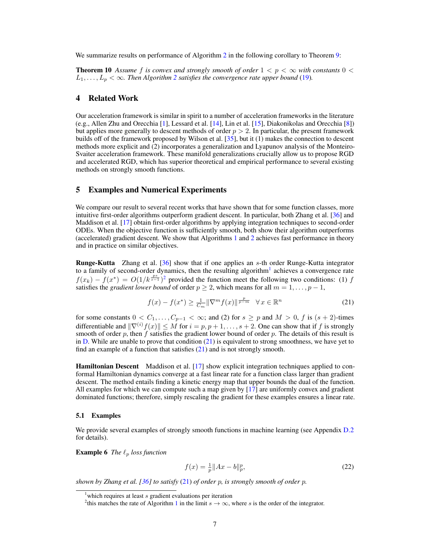We summarize results on performance of Algorithm [2](#page-5-1) in the following corollary to Theorem [9:](#page-5-0)

**Theorem 10** Assume f is convex and strongly smooth of order  $1 < p < \infty$  with constants  $0 <$  $L_1, \ldots, L_p < \infty$ . Then Algorithm [2](#page-5-1) satisfies the convergence rate upper bound [\(19\)](#page-0-1).

# 4 Related Work

Our acceleration framework is similar in spirit to a number of acceleration frameworks in the literature (e.g., Allen Zhu and Orecchia [\[1\]](#page-8-2), Lessard et al. [\[14\]](#page-9-13), Lin et al. [\[15\]](#page-9-12), Diakonikolas and Orecchia [\[8\]](#page-9-4)) but applies more generally to descent methods of order  $p > 2$ . In particular, the present framework builds off of the framework proposed by Wilson et al. [\[35\]](#page-10-8), but it (1) makes the connection to descent methods more explicit and (2) incorporates a generalization and Lyapunov analysis of the Monteiro-Svaiter acceleration framework. These manifold generalizations crucially allow us to propose RGD and accelerated RGD, which has superior theoretical and empirical performance to several existing methods on strongly smooth functions.

### <span id="page-6-0"></span>5 Examples and Numerical Experiments

We compare our result to several recent works that have shown that for some function classes, more intuitive first-order algorithms outperform gradient descent. In particular, both Zhang et al. [\[36\]](#page-10-13) and Maddison et al. [\[17\]](#page-9-5) obtain first-order algorithms by applying integration techniques to second-order ODEs. When the objective function is sufficiently smooth, both show their algorithm outperforms (accelerated) gradient descent. We show that Algorithms [1](#page-4-0) and [2](#page-5-1) achieves fast performance in theory and in practice on similar objectives.

Runge-Kutta Zhang et al. [\[36\]](#page-10-13) show that if one applies an s-th order Runge-Kutta integrator to a family of second-order dynamics, then the resulting algorithm<sup>[1](#page-6-1)</sup> achieves a convergence rate  $f(x_k) - f(x^*) = O(1/k^{\frac{ps}{s-1}})^2$  $f(x_k) - f(x^*) = O(1/k^{\frac{ps}{s-1}})^2$  provided the function meet the following two conditions: (1) f satisfies the *gradient lower bound* of order  $p \ge 2$ , which means for all  $m = 1, \ldots, p - 1$ ,

$$
f(x) - f(x^*) \ge \frac{1}{C_m} \|\nabla^m f(x)\|^{\frac{p}{p-m}} \quad \forall x \in \mathbb{R}^n \tag{21}
$$

for some constants  $0 < C_1, \ldots, C_{p-1} < \infty$ ; and (2) for  $s \ge p$  and  $M > 0$ , f is  $(s + 2)$ -times differentiable and  $\|\nabla^{(i)}f(x)\| \leq M$  for  $i = p, p + 1, \ldots, s + 2$ . One can show that if f is strongly smooth of order  $p$ , then f satisfies the gradient lower bound of order  $p$ . The details of this result is in  $D$ . While are unable to prove that condition  $(21)$  is equivalent to strong smoothness, we have yet to find an example of a function that satisfies  $(21)$  and is not strongly smooth.

Hamiltonian Descent Maddison et al. [\[17\]](#page-9-5) show explicit integration techniques applied to conformal Hamiltonian dynamics converge at a fast linear rate for a function class larger than gradient descent. The method entails finding a kinetic energy map that upper bounds the dual of the function. All examples for which we can compute such a map given by [\[17\]](#page-9-5) are uniformly convex and gradient dominated functions; therefore, simply rescaling the gradient for these examples ensures a linear rate.

### 5.1 Examples

<span id="page-6-4"></span>We provide several examples of strongly smooth functions in machine learning (see Appendix D.2) for details).

**Example 6** *The*  $\ell_p$  *loss function* 

$$
f(x) = \frac{1}{p} \|Ax - b\|_p^p,
$$
\n(22)

<span id="page-6-3"></span>*shown by Zhang et al. [\[36\]](#page-10-13) to satisfy* [\(21\)](#page-0-1) *of order* p*, is strongly smooth of order* p*.*

<span id="page-6-1"></span>which requires at least  $s$  gradient evaluations per iteration

<span id="page-6-2"></span><sup>&</sup>lt;sup>2</sup>this matches the rate of Algorithm [1](#page-4-0) in the limit  $s \to \infty$ , where s is the order of the integrator.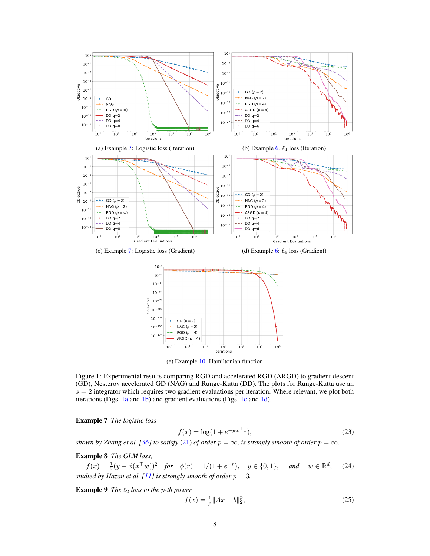<span id="page-7-0"></span>

(e) Example [10:](#page-8-3) Hamiltonian function

Figure 1: Experimental results comparing RGD and accelerated RGD (ARGD) to gradient descent (GD), Nesterov accelerated GD (NAG) and Runge-Kutta (DD). The plots for Runge-Kutta use an  $s = 2$  integrator which requires two gradient evaluations per iteration. Where relevant, we plot both iterations (Figs. [1a](#page-7-0) and [1b\)](#page-7-0) and gradient evaluations (Figs. [1c](#page-7-0) and [1d\)](#page-7-0).

Example 7 *The logistic loss*

$$
f(x) = \log(1 + e^{-yw^{\top}x}),
$$
\n(23)

*shown by Zhang et al.* [\[36\]](#page-10-13) *to satisfy* [\(21\)](#page-0-1) *of order*  $p = \infty$ *, is strongly smooth of order*  $p = \infty$ *.* 

Example 8 *The GLM loss,*

 $f(x) = \frac{1}{2}(y - \phi(x^\top w))^2$  *for*  $\phi(r) = 1/(1 + e^{-r}), \quad y \in \{0, 1\}, \quad and \quad w \in \mathbb{R}^d$  $(24)$ *studied by Hazan et al.* [\[11\]](#page-9-0) *is strongly smooth of order*  $p = 3$ *.* 

**Example 9** *The*  $\ell_2$  *loss to the p-th power* 

$$
f(x) = \frac{1}{p} \|Ax - b\|_2^p,
$$
\n(25)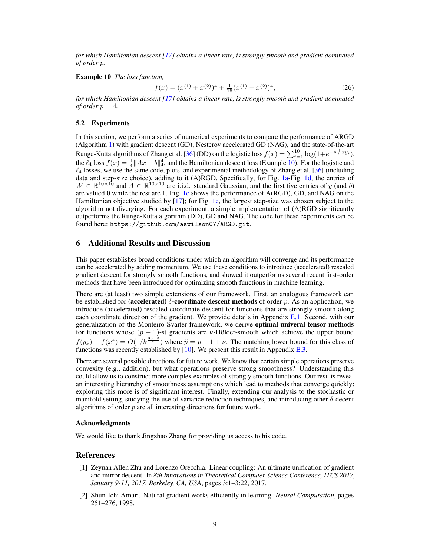*for which Hamiltonian descent [\[17\]](#page-9-5) obtains a linear rate, is strongly smooth and gradient dominated of order* p*.*

<span id="page-8-3"></span>Example 10 *The loss function,*

$$
f(x) = (x^{(1)} + x^{(2)})^4 + \frac{1}{16}(x^{(1)} - x^{(2)})^4,
$$
\n(26)

*for which Hamiltonian descent [\[17\]](#page-9-5) obtains a linear rate, is strongly smooth and gradient dominated of order*  $p = 4$ *.* 

#### 5.2 Experiments

In this section, we perform a series of numerical experiments to compare the performance of ARGD (Algorithm [1\)](#page-4-0) with gradient descent (GD), Nesterov accelerated GD (NAG), and the state-of-the-art Runge-Kutta algorithms of Zhang et al. [\[36\]](#page-10-13) (DD) on the logistic loss  $f(x) = \sum_{i=1}^{10} \log(1 + e^{-w_i^\top xy_i}),$ the  $\ell_4$  loss  $f(x) = \frac{1}{4} ||Ax - b||_4^4$ , and the Hamiltonian descent loss (Example [10\)](#page-8-3). For the logistic and  $\ell_4$  losses, we use the same code, plots, and experimental methodology of Zhang et al. [\[36\]](#page-10-13) (including data and step-size choice), adding to it (A)RGD. Specifically, for Fig. [1a-](#page-7-0)Fig. [1d,](#page-7-0) the entries of  $W \in \mathbb{R}^{10 \times 10}$  and  $A \in \mathbb{R}^{10 \times 10}$  are i.i.d. standard Gaussian, and the first five entries of y (and b) are valued 0 while the rest are 1. Fig. [1e](#page-7-0) shows the performance of A(RGD), GD, and NAG on the Hamiltonian objective studied by [\[17\]](#page-9-5); for Fig. [1e,](#page-7-0) the largest step-size was chosen subject to the algorithm not diverging. For each experiment, a simple implementation of (A)RGD significantly outperforms the Runge-Kutta algorithm (DD), GD and NAG. The code for these experiments can be found here: <https://github.com/aswilson07/ARGD.git>.

# <span id="page-8-0"></span>6 Additional Results and Discussion

This paper establishes broad conditions under which an algorithm will converge and its performance can be accelerated by adding momentum. We use these conditions to introduce (accelerated) rescaled gradient descent for strongly smooth functions, and showed it outperforms several recent first-order methods that have been introduced for optimizing smooth functions in machine learning.

There are (at least) two simple extensions of our framework. First, an analogous framework can be established for (accelerated)  $\delta$ -coordinate descent methods of order p. As an application, we introduce (accelerated) rescaled coordinate descent for functions that are strongly smooth along each coordinate direction of the gradient. We provide details in Appendix E.1. Second, with our generalization of the Monteiro-Svaiter framework, we derive optimal univeral tensor methods for functions whose  $(p - 1)$ -st gradients are v-Hölder-smooth which achieve the upper bound  $f(y_k) - f(x^*) = O(1/k^{\frac{3\bar{p}-2}{2}})$  where  $\tilde{p} = p - 1 + \nu$ . The matching lower bound for this class of functions was recently established by [\[10\]](#page-9-17). We present this result in Appendix E.3.

There are several possible directions for future work. We know that certain simple operations preserve convexity (e.g., addition), but what operations preserve strong smoothness? Understanding this could allow us to construct more complex examples of strongly smooth functions. Our results reveal an interesting hierarchy of smoothness assumptions which lead to methods that converge quickly; exploring this more is of significant interest. Finally, extending our analysis to the stochastic or manifold setting, studying the use of variance reduction techniques, and introducing other  $\delta$ -decent algorithms of order  $p$  are all interesting directions for future work.

#### Acknowledgments

We would like to thank Jingzhao Zhang for providing us access to his code.

## References

- <span id="page-8-2"></span>[1] Zeyuan Allen Zhu and Lorenzo Orecchia. Linear coupling: An ultimate unification of gradient and mirror descent. In *8th Innovations in Theoretical Computer Science Conference, ITCS 2017, January 9-11, 2017, Berkeley, CA, USA*, pages 3:1–3:22, 2017.
- <span id="page-8-1"></span>[2] Shun-Ichi Amari. Natural gradient works efficiently in learning. *Neural Computation*, pages 251–276, 1998.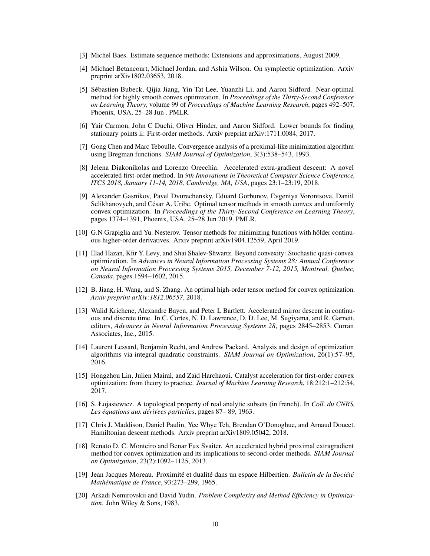- <span id="page-9-8"></span>[3] Michel Baes. Estimate sequence methods: Extensions and approximations, August 2009.
- <span id="page-9-3"></span>[4] Michael Betancourt, Michael Jordan, and Ashia Wilson. On symplectic optimization. Arxiv preprint arXiv1802.03653, 2018.
- <span id="page-9-16"></span>[5] Sébastien Bubeck, Qijia Jiang, Yin Tat Lee, Yuanzhi Li, and Aaron Sidford. Near-optimal method for highly smooth convex optimization. In *Proceedings of the Thirty-Second Conference on Learning Theory*, volume 99 of *Proceedings of Machine Learning Research*, pages 492–507, Phoenix, USA, 25–28 Jun . PMLR.
- <span id="page-9-7"></span>[6] Yair Carmon, John C Duchi, Oliver Hinder, and Aaron Sidford. Lower bounds for finding stationary points ii: First-order methods. Arxiv preprint arXiv:1711.0084, 2017.
- <span id="page-9-11"></span>[7] Gong Chen and Marc Teboulle. Convergence analysis of a proximal-like minimization algorithm using Bregman functions. *SIAM Journal of Optimization*, 3(3):538–543, 1993.
- <span id="page-9-4"></span>[8] Jelena Diakonikolas and Lorenzo Orecchia. Accelerated extra-gradient descent: A novel accelerated first-order method. In *9th Innovations in Theoretical Computer Science Conference, ITCS 2018, January 11-14, 2018, Cambridge, MA, USA*, pages 23:1–23:19, 2018.
- <span id="page-9-14"></span>[9] Alexander Gasnikov, Pavel Dvurechensky, Eduard Gorbunov, Evgeniya Vorontsova, Daniil Selikhanovych, and César A. Uribe. Optimal tensor methods in smooth convex and uniformly convex optimization. In *Proceedings of the Thirty-Second Conference on Learning Theory*, pages 1374–1391, Phoenix, USA, 25–28 Jun 2019. PMLR.
- <span id="page-9-17"></span>[10] G.N Grapiglia and Yu. Nesterov. Tensor methods for minimizing functions with hölder continuous higher-order derivatives. Arxiv preprint arXiv1904.12559, April 2019.
- <span id="page-9-0"></span>[11] Elad Hazan, Kfir Y. Levy, and Shai Shalev-Shwartz. Beyond convexity: Stochastic quasi-convex optimization. In *Advances in Neural Information Processing Systems 28: Annual Conference on Neural Information Processing Systems 2015, December 7-12, 2015, Montreal, Quebec, Canada*, pages 1594–1602, 2015.
- <span id="page-9-15"></span>[12] B. Jiang, H. Wang, and S. Zhang. An optimal high-order tensor method for convex optimization. *Arxiv preprint arXiv:1812.06557*, 2018.
- <span id="page-9-2"></span>[13] Walid Krichene, Alexandre Bayen, and Peter L Bartlett. Accelerated mirror descent in continuous and discrete time. In C. Cortes, N. D. Lawrence, D. D. Lee, M. Sugiyama, and R. Garnett, editors, *Advances in Neural Information Processing Systems 28*, pages 2845–2853. Curran Associates, Inc., 2015.
- <span id="page-9-13"></span>[14] Laurent Lessard, Benjamin Recht, and Andrew Packard. Analysis and design of optimization algorithms via integral quadratic constraints. *SIAM Journal on Optimization*, 26(1):57–95, 2016.
- <span id="page-9-12"></span>[15] Hongzhou Lin, Julien Mairal, and Zaïd Harchaoui. Catalyst acceleration for first-order convex optimization: from theory to practice. *Journal of Machine Learning Research*, 18:212:1–212:54, 2017.
- <span id="page-9-6"></span>[16] S. Łojasiewicz. A topological property of real analytic subsets (in french). In *Coll. du CNRS,* Les équations aux dérivees partielles, pages 87– 89, 1963.
- <span id="page-9-5"></span>[17] Chris J. Maddison, Daniel Paulin, Yee Whye Teh, Brendan O'Donoghue, and Arnaud Doucet. Hamiltonian descent methods. Arxiv preprint arXiv1809.05042, 2018.
- <span id="page-9-1"></span>[18] Renato D. C. Monteiro and Benar Fux Svaiter. An accelerated hybrid proximal extragradient method for convex optimization and its implications to second-order methods. *SIAM Journal on Optimization*, 23(2):1092–1125, 2013.
- <span id="page-9-9"></span>[19] Jean Jacques Moreau. Proximité et dualité dans un espace Hilbertien. *Bulletin de la Société Mathématique de France*, 93:273–299, 1965.
- <span id="page-9-10"></span>[20] Arkadi Nemirovskii and David Yudin. *Problem Complexity and Method Efficiency in Optimization*. John Wiley & Sons, 1983.